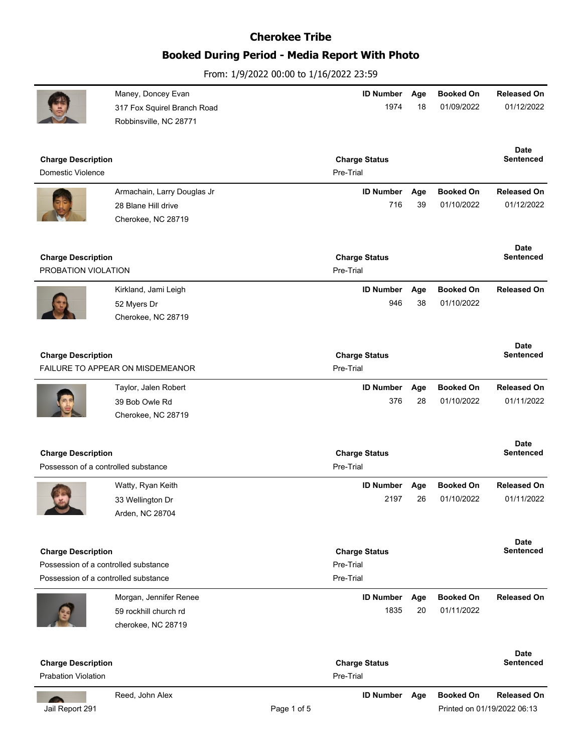# **Booked During Period - Media Report With Photo**

From: 1/9/2022 00:00 to 1/16/2022 23:59

|                                      | Maney, Doncey Evan<br>317 Fox Squirel Branch Road | <b>ID Number</b><br>1974          | Age<br>18 | <b>Booked On</b><br>01/09/2022 | <b>Released On</b><br>01/12/2022 |
|--------------------------------------|---------------------------------------------------|-----------------------------------|-----------|--------------------------------|----------------------------------|
|                                      | Robbinsville, NC 28771                            |                                   |           |                                |                                  |
| <b>Charge Description</b>            |                                                   | <b>Charge Status</b>              |           |                                | <b>Date</b><br><b>Sentenced</b>  |
| Domestic Violence                    |                                                   | Pre-Trial                         |           |                                |                                  |
|                                      | Armachain, Larry Douglas Jr                       | <b>ID Number</b>                  | Age       | <b>Booked On</b>               | <b>Released On</b>               |
|                                      | 28 Blane Hill drive                               | 716                               | 39        | 01/10/2022                     | 01/12/2022                       |
|                                      | Cherokee, NC 28719                                |                                   |           |                                |                                  |
|                                      |                                                   |                                   |           |                                | <b>Date</b>                      |
| <b>Charge Description</b>            |                                                   | <b>Charge Status</b>              |           |                                | <b>Sentenced</b>                 |
| PROBATION VIOLATION                  |                                                   | Pre-Trial                         |           |                                |                                  |
|                                      | Kirkland, Jami Leigh                              | <b>ID Number</b>                  | Age       | <b>Booked On</b>               | <b>Released On</b>               |
|                                      | 52 Myers Dr                                       | 946                               | 38        | 01/10/2022                     |                                  |
|                                      | Cherokee, NC 28719                                |                                   |           |                                |                                  |
|                                      |                                                   |                                   |           |                                | Date                             |
| <b>Charge Description</b>            | FAILURE TO APPEAR ON MISDEMEANOR                  | <b>Charge Status</b><br>Pre-Trial |           |                                | <b>Sentenced</b>                 |
|                                      |                                                   |                                   |           |                                |                                  |
|                                      | Taylor, Jalen Robert                              | <b>ID Number</b><br>376           | Age<br>28 | <b>Booked On</b><br>01/10/2022 | <b>Released On</b><br>01/11/2022 |
|                                      | 39 Bob Owle Rd<br>Cherokee, NC 28719              |                                   |           |                                |                                  |
|                                      |                                                   |                                   |           |                                |                                  |
| <b>Charge Description</b>            |                                                   | <b>Charge Status</b>              |           |                                | <b>Date</b><br><b>Sentenced</b>  |
| Possesson of a controlled substance  |                                                   | Pre-Trial                         |           |                                |                                  |
|                                      | Watty, Ryan Keith                                 | <b>ID Number</b>                  | Age       | <b>Booked On</b>               | <b>Released On</b>               |
|                                      | 33 Wellington Dr                                  | 2197                              | 26        | 01/10/2022                     | 01/11/2022                       |
|                                      | Arden, NC 28704                                   |                                   |           |                                |                                  |
|                                      |                                                   |                                   |           |                                | Date                             |
| <b>Charge Description</b>            |                                                   | <b>Charge Status</b>              |           |                                | <b>Sentenced</b>                 |
| Possession of a controlled substance |                                                   | Pre-Trial                         |           |                                |                                  |
| Possession of a controlled substance |                                                   | Pre-Trial                         |           |                                |                                  |
|                                      | Morgan, Jennifer Renee                            | <b>ID Number</b>                  | Age       | <b>Booked On</b>               | <b>Released On</b>               |
|                                      | 59 rockhill church rd                             | 1835                              | 20        | 01/11/2022                     |                                  |
|                                      | cherokee, NC 28719                                |                                   |           |                                |                                  |
|                                      |                                                   |                                   |           |                                | Date                             |
| <b>Charge Description</b>            |                                                   | <b>Charge Status</b>              |           |                                | Sentenced                        |
| <b>Prabation Violation</b>           |                                                   | Pre-Trial                         |           |                                |                                  |
|                                      | Reed, John Alex                                   | <b>ID Number</b>                  | Age       | <b>Booked On</b>               | <b>Released On</b>               |

 $\sqrt{2}$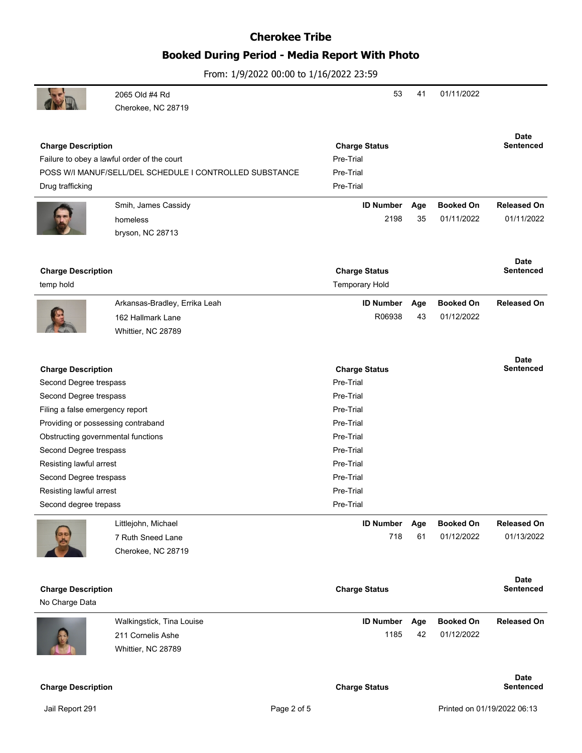## **Booked During Period - Media Report With Photo**

|                                    | 2065 Old #4 Rd                                          | 53                    | 41  | 01/11/2022       |                    |
|------------------------------------|---------------------------------------------------------|-----------------------|-----|------------------|--------------------|
|                                    | Cherokee, NC 28719                                      |                       |     |                  |                    |
|                                    |                                                         |                       |     |                  |                    |
|                                    |                                                         |                       |     |                  | <b>Date</b>        |
| <b>Charge Description</b>          |                                                         | <b>Charge Status</b>  |     |                  | <b>Sentenced</b>   |
|                                    | Failure to obey a lawful order of the court             | Pre-Trial             |     |                  |                    |
|                                    | POSS W/I MANUF/SELL/DEL SCHEDULE I CONTROLLED SUBSTANCE | Pre-Trial             |     |                  |                    |
| Drug trafficking                   |                                                         | Pre-Trial             |     |                  |                    |
|                                    | Smih, James Cassidy                                     | <b>ID Number</b>      | Age | <b>Booked On</b> | <b>Released On</b> |
|                                    | homeless                                                | 2198                  | 35  | 01/11/2022       | 01/11/2022         |
|                                    | bryson, NC 28713                                        |                       |     |                  |                    |
|                                    |                                                         |                       |     |                  |                    |
|                                    |                                                         |                       |     |                  | <b>Date</b>        |
| <b>Charge Description</b>          |                                                         | <b>Charge Status</b>  |     |                  | <b>Sentenced</b>   |
| temp hold                          |                                                         | <b>Temporary Hold</b> |     |                  |                    |
|                                    | Arkansas-Bradley, Errika Leah                           | <b>ID Number</b>      | Age | <b>Booked On</b> | <b>Released On</b> |
|                                    | 162 Hallmark Lane                                       | R06938                | 43  | 01/12/2022       |                    |
|                                    | Whittier, NC 28789                                      |                       |     |                  |                    |
|                                    |                                                         |                       |     |                  |                    |
|                                    |                                                         |                       |     |                  | <b>Date</b>        |
| <b>Charge Description</b>          |                                                         | <b>Charge Status</b>  |     |                  | <b>Sentenced</b>   |
| Second Degree trespass             |                                                         | Pre-Trial             |     |                  |                    |
| Second Degree trespass             |                                                         | Pre-Trial             |     |                  |                    |
| Filing a false emergency report    |                                                         | Pre-Trial             |     |                  |                    |
| Providing or possessing contraband |                                                         | Pre-Trial             |     |                  |                    |
| Obstructing governmental functions |                                                         | Pre-Trial             |     |                  |                    |
| Second Degree trespass             |                                                         | Pre-Trial             |     |                  |                    |
| Resisting lawful arrest            |                                                         | Pre-Trial             |     |                  |                    |
| Second Degree trespass             |                                                         | Pre-Trial             |     |                  |                    |
| Resisting lawful arrest            |                                                         | Pre-Trial             |     |                  |                    |
| Second degree trepass              |                                                         | Pre-Trial             |     |                  |                    |
|                                    | Littlejohn, Michael                                     | <b>ID Number</b>      | Age | <b>Booked On</b> | <b>Released On</b> |
|                                    | 7 Ruth Sneed Lane                                       | 718                   | 61  | 01/12/2022       | 01/13/2022         |
|                                    | Cherokee, NC 28719                                      |                       |     |                  |                    |
|                                    |                                                         |                       |     |                  |                    |
|                                    |                                                         |                       |     |                  | <b>Date</b>        |
| <b>Charge Description</b>          |                                                         | <b>Charge Status</b>  |     |                  | <b>Sentenced</b>   |
| No Charge Data                     |                                                         |                       |     |                  |                    |
|                                    | Walkingstick, Tina Louise                               | <b>ID Number</b>      | Age | <b>Booked On</b> | <b>Released On</b> |
|                                    | 211 Cornelis Ashe                                       | 1185                  | 42  | 01/12/2022       |                    |
|                                    | Whittier, NC 28789                                      |                       |     |                  |                    |
|                                    |                                                         |                       |     |                  |                    |
|                                    |                                                         |                       |     |                  | <b>Date</b>        |
| <b>Charge Description</b>          |                                                         | <b>Charge Status</b>  |     |                  | <b>Sentenced</b>   |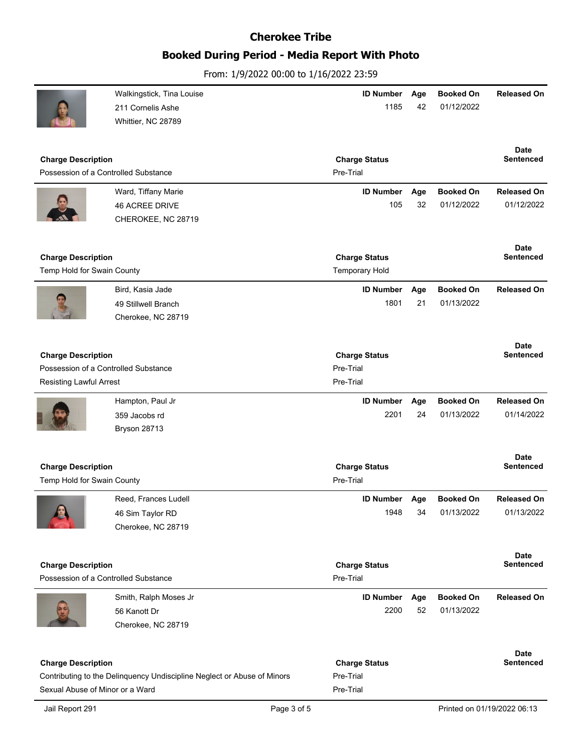# **Booked During Period - Media Report With Photo**

|                                                                         | Walkingstick, Tina Louise                 | <b>ID Number</b>                  | Age       | <b>Booked On</b>               | <b>Released On</b>              |
|-------------------------------------------------------------------------|-------------------------------------------|-----------------------------------|-----------|--------------------------------|---------------------------------|
|                                                                         | 211 Cornelis Ashe                         | 1185                              | 42        | 01/12/2022                     |                                 |
|                                                                         | Whittier, NC 28789                        |                                   |           |                                |                                 |
|                                                                         |                                           |                                   |           |                                |                                 |
|                                                                         |                                           |                                   |           |                                | Date                            |
| <b>Charge Description</b><br>Possession of a Controlled Substance       |                                           | <b>Charge Status</b><br>Pre-Trial |           |                                | <b>Sentenced</b>                |
|                                                                         |                                           |                                   |           |                                |                                 |
|                                                                         | Ward, Tiffany Marie                       | <b>ID Number</b>                  | Age       | <b>Booked On</b>               | <b>Released On</b>              |
|                                                                         | <b>46 ACREE DRIVE</b>                     | 105                               | 32        | 01/12/2022                     | 01/12/2022                      |
|                                                                         | CHEROKEE, NC 28719                        |                                   |           |                                |                                 |
|                                                                         |                                           |                                   |           |                                |                                 |
| <b>Charge Description</b>                                               |                                           | <b>Charge Status</b>              |           |                                | Date<br><b>Sentenced</b>        |
| Temp Hold for Swain County                                              |                                           | <b>Temporary Hold</b>             |           |                                |                                 |
|                                                                         |                                           |                                   |           |                                |                                 |
|                                                                         | Bird, Kasia Jade                          | <b>ID Number</b><br>1801          | Age<br>21 | <b>Booked On</b><br>01/13/2022 | <b>Released On</b>              |
|                                                                         | 49 Stillwell Branch<br>Cherokee, NC 28719 |                                   |           |                                |                                 |
|                                                                         |                                           |                                   |           |                                |                                 |
|                                                                         |                                           |                                   |           |                                | <b>Date</b>                     |
| <b>Charge Description</b>                                               |                                           | <b>Charge Status</b>              |           |                                | <b>Sentenced</b>                |
| Possession of a Controlled Substance                                    |                                           | Pre-Trial                         |           |                                |                                 |
| Resisting Lawful Arrest                                                 |                                           | Pre-Trial                         |           |                                |                                 |
|                                                                         | Hampton, Paul Jr                          | <b>ID Number</b>                  | Age       | <b>Booked On</b>               | <b>Released On</b>              |
|                                                                         | 359 Jacobs rd                             | 2201                              | 24        | 01/13/2022                     | 01/14/2022                      |
|                                                                         | Bryson 28713                              |                                   |           |                                |                                 |
|                                                                         |                                           |                                   |           |                                |                                 |
|                                                                         |                                           |                                   |           |                                | Date                            |
| <b>Charge Description</b>                                               |                                           | <b>Charge Status</b>              |           |                                | <b>Sentenced</b>                |
| Temp Hold for Swain County                                              |                                           | Pre-Trial                         |           |                                |                                 |
|                                                                         | Reed, Frances Ludell                      | <b>ID Number</b>                  | Age       | <b>Booked On</b>               | <b>Released On</b>              |
| 6e                                                                      | 46 Sim Taylor RD                          | 1948                              | 34        | 01/13/2022                     | 01/13/2022                      |
|                                                                         | Cherokee, NC 28719                        |                                   |           |                                |                                 |
|                                                                         |                                           |                                   |           |                                |                                 |
| <b>Charge Description</b>                                               |                                           | <b>Charge Status</b>              |           |                                | <b>Date</b><br><b>Sentenced</b> |
| Possession of a Controlled Substance                                    |                                           | Pre-Trial                         |           |                                |                                 |
|                                                                         |                                           |                                   |           |                                |                                 |
|                                                                         | Smith, Ralph Moses Jr                     | ID Number Age<br>2200             | 52        | <b>Booked On</b><br>01/13/2022 | <b>Released On</b>              |
|                                                                         | 56 Kanott Dr<br>Cherokee, NC 28719        |                                   |           |                                |                                 |
|                                                                         |                                           |                                   |           |                                |                                 |
|                                                                         |                                           |                                   |           |                                | <b>Date</b>                     |
| <b>Charge Description</b>                                               |                                           | <b>Charge Status</b>              |           |                                | Sentenced                       |
| Contributing to the Delinquency Undiscipline Neglect or Abuse of Minors |                                           | Pre-Trial                         |           |                                |                                 |
| Sexual Abuse of Minor or a Ward                                         |                                           | Pre-Trial                         |           |                                |                                 |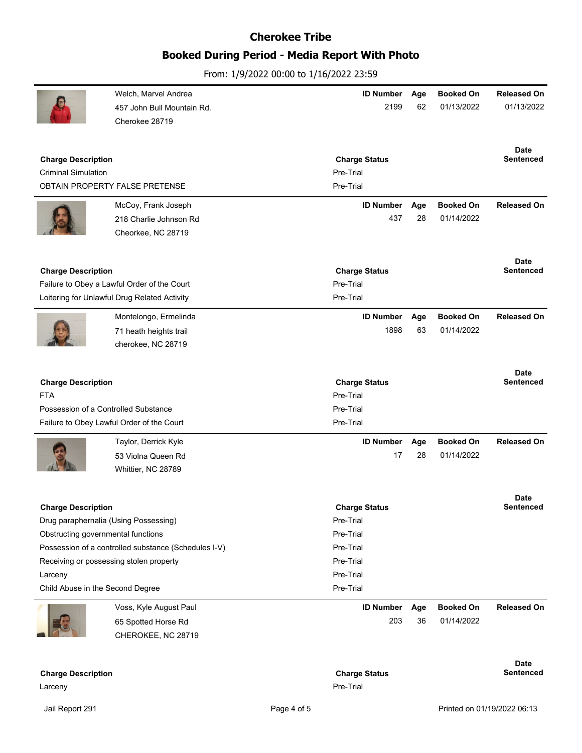# **Booked During Period - Media Report With Photo**

|                                                      | Welch, Marvel Andrea                         | <b>ID Number</b>     | Age | <b>Booked On</b> | <b>Released On</b> |
|------------------------------------------------------|----------------------------------------------|----------------------|-----|------------------|--------------------|
|                                                      | 457 John Bull Mountain Rd.                   | 2199                 | 62  | 01/13/2022       | 01/13/2022         |
|                                                      | Cherokee 28719                               |                      |     |                  |                    |
|                                                      |                                              |                      |     |                  |                    |
|                                                      |                                              |                      |     |                  | <b>Date</b>        |
| <b>Charge Description</b>                            |                                              | <b>Charge Status</b> |     |                  | <b>Sentenced</b>   |
| <b>Criminal Simulation</b>                           |                                              | Pre-Trial            |     |                  |                    |
|                                                      | OBTAIN PROPERTY FALSE PRETENSE               | Pre-Trial            |     |                  |                    |
|                                                      | McCoy, Frank Joseph                          | <b>ID Number</b>     | Age | <b>Booked On</b> | <b>Released On</b> |
|                                                      | 218 Charlie Johnson Rd                       | 437                  | 28  | 01/14/2022       |                    |
|                                                      | Cheorkee, NC 28719                           |                      |     |                  |                    |
|                                                      |                                              |                      |     |                  |                    |
|                                                      |                                              |                      |     |                  | Date               |
| <b>Charge Description</b>                            |                                              | <b>Charge Status</b> |     |                  | Sentenced          |
|                                                      | Failure to Obey a Lawful Order of the Court  | Pre-Trial            |     |                  |                    |
|                                                      | Loitering for Unlawful Drug Related Activity | Pre-Trial            |     |                  |                    |
|                                                      | Montelongo, Ermelinda                        | <b>ID Number</b>     | Age | <b>Booked On</b> | <b>Released On</b> |
|                                                      | 71 heath heights trail                       | 1898                 | 63  | 01/14/2022       |                    |
|                                                      | cherokee, NC 28719                           |                      |     |                  |                    |
|                                                      |                                              |                      |     |                  |                    |
|                                                      |                                              |                      |     |                  | <b>Date</b>        |
| <b>Charge Description</b>                            |                                              | <b>Charge Status</b> |     |                  | <b>Sentenced</b>   |
| <b>FTA</b>                                           |                                              | Pre-Trial            |     |                  |                    |
| Possession of a Controlled Substance                 |                                              | Pre-Trial            |     |                  |                    |
|                                                      | Failure to Obey Lawful Order of the Court    | Pre-Trial            |     |                  |                    |
|                                                      | Taylor, Derrick Kyle                         | <b>ID Number</b>     | Age | <b>Booked On</b> | <b>Released On</b> |
|                                                      | 53 Violna Queen Rd                           | 17                   | 28  | 01/14/2022       |                    |
|                                                      | Whittier, NC 28789                           |                      |     |                  |                    |
|                                                      |                                              |                      |     |                  |                    |
|                                                      |                                              |                      |     |                  | <b>Date</b>        |
| <b>Charge Description</b>                            |                                              | <b>Charge Status</b> |     |                  | Sentenced          |
|                                                      | Drug paraphernalia (Using Possessing)        | Pre-Trial            |     |                  |                    |
| Obstructing governmental functions                   |                                              | Pre-Trial            |     |                  |                    |
| Possession of a controlled substance (Schedules I-V) |                                              | Pre-Trial            |     |                  |                    |
| Receiving or possessing stolen property              |                                              | Pre-Trial            |     |                  |                    |
| Larceny                                              |                                              | Pre-Trial            |     |                  |                    |
| Child Abuse in the Second Degree                     |                                              | Pre-Trial            |     |                  |                    |
|                                                      | Voss, Kyle August Paul                       | <b>ID Number</b>     | Age | <b>Booked On</b> | <b>Released On</b> |
|                                                      | 65 Spotted Horse Rd                          | 203                  | 36  | 01/14/2022       |                    |
|                                                      | CHEROKEE, NC 28719                           |                      |     |                  |                    |
|                                                      |                                              |                      |     |                  |                    |
|                                                      |                                              |                      |     |                  | <b>Date</b>        |
| <b>Charge Description</b>                            |                                              | <b>Charge Status</b> |     |                  | Sentenced          |
| Larceny                                              |                                              | Pre-Trial            |     |                  |                    |